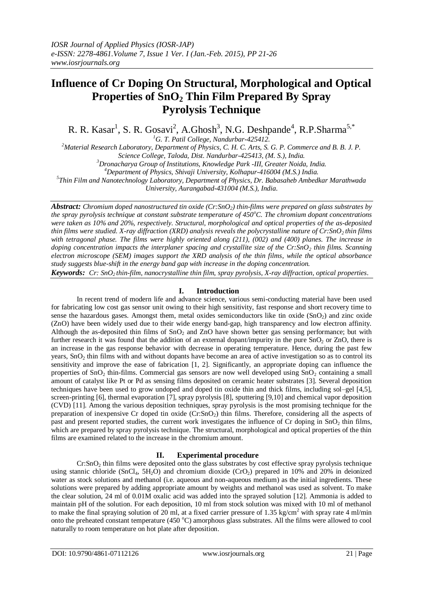# **Influence of Cr Doping On Structural, Morphological and Optical Properties of SnO<sup>2</sup> Thin Film Prepared By Spray Pyrolysis Technique**

R. R. Kasar<sup>1</sup>, S. R. Gosavi<sup>2</sup>, A.Ghosh<sup>3</sup>, N.G. Deshpande<sup>4</sup>, R.P.Sharma<sup>5,\*</sup>

*<sup>1</sup>G. T. Patil College, Nandurbar-425412.*

*<sup>2</sup>Material Research Laboratory, Department of Physics, C. H. C. Arts, S. G. P. Commerce and B. B. J. P.* 

*Science College, Taloda, Dist. Nandurbar-425413, (M. S.), India.*

*<sup>3</sup>Dronacharya Group of Institutions, Knowledge Park -III, Greater Noida, India.*

*<sup>4</sup>Department of Physics, Shivaji University, Kolhapur-416004 (M.S.) India.*

*5 Thin Film and Nanotechnology Laboratory, Department of Physics, Dr. Babasaheb Ambedkar Marathwada* 

*University, Aurangabad-431004 (M.S.), India*.

*Abstract: Chromium doped nanostructured tin oxide (Cr:SnO2) thin-films were prepared on glass substrates by the spray pyrolysis technique at constant substrate temperature of 450<sup>o</sup>C. The chromium dopant concentrations were taken as 10% and 20%, respectively. Structural, morphological and optical properties of the as-deposited thin films were studied. X-ray diffraction (XRD) analysis reveals the polycrystalline nature of Cr:SnO2 thin films with tetragonal phase. The films were highly oriented along (211), (002) and (400) planes. The increase in doping concentration impacts the interplaner spacing and crystallite size of the Cr:SnO<sup>2</sup> thin films. Scanning electron microscope (SEM) images support the XRD analysis of the thin films, while the optical absorbance study suggests blue-shift in the energy band gap with increase in the doping concentration.*

*Keywords: Cr: SnO2 thin-film, nanocrystalline thin film, spray pyrolysis, X-ray diffraction, optical properties*.

## **I. Introduction**

In recent trend of modern life and advance science, various semi-conducting material have been used for fabricating low cost gas sensor unit owing to their high sensitivity, fast response and short recovery time to sense the hazardous gases. Amongst them, metal oxides semiconductors like tin oxide  $(SnO<sub>2</sub>)$  and zinc oxide (ZnO) have been widely used due to their wide energy band-gap, high transparency and low electron affinity. Although the as-deposited thin films of  $SnO<sub>2</sub>$  and  $ZnO$  have shown better gas sensing performance; but with further research it was found that the addition of an external dopant/impurity in the pure  $SnO<sub>2</sub>$  or  $ZnO$ , there is an increase in the gas response behavior with decrease in operating temperature. Hence, during the past few years,  $SnO<sub>2</sub>$  thin films with and without dopants have become an area of active investigation so as to control its sensitivity and improve the ease of fabrication [1, 2]. Significantly, an appropriate doping can influence the properties of  $SnO_2$  thin-films. Commercial gas sensors are now well developed using  $SnO_2$  containing a small amount of catalyst like Pt or Pd as sensing films deposited on ceramic heater substrates [3]. Several deposition techniques have been used to grow undoped and doped tin oxide thin and thick films, including sol–gel [4,5], screen-printing [6], thermal evaporation [7], spray pyrolysis [8], sputtering [9,10] and chemical vapor deposition (CVD) [11]. Among the various deposition techniques, spray pyrolysis is the most promising technique for the preparation of inexpensive Cr doped tin oxide (Cr:SnO2) thin films. Therefore, considering all the aspects of past and present reported studies, the current work investigates the influence of Cr doping in  $SnO<sub>2</sub>$  thin films, which are prepared by spray pyrolysis technique. The structural, morphological and optical properties of the thin films are examined related to the increase in the chromium amount.

## **II. Experimental procedure**

 $Cr:SnO<sub>2</sub>$  thin films were deposited onto the glass substrates by cost effective spray pyrolysis technique using stannic chloride (SnCl<sub>4</sub>, 5H<sub>2</sub>O) and chromium dioxide (CrO<sub>2</sub>) prepared in 10% and 20% in deionized water as stock solutions and methanol (i.e. aqueous and non-aqueous medium) as the initial ingredients. These solutions were prepared by adding appropriate amount by weights and methanol was used as solvent. To make the clear solution, 24 ml of 0.01M oxalic acid was added into the sprayed solution [12]. Ammonia is added to maintain pH of the solution. For each deposition, 10 ml from stock solution was mixed with 10 ml of methanol to make the final spraying solution of 20 ml, at a fixed carrier pressure of 1.35 kg/cm<sup>2</sup> with spray rate 4 ml/min onto the preheated constant temperature (450 °C) amorphous glass substrates. All the films were allowed to cool naturally to room temperature on hot plate after deposition.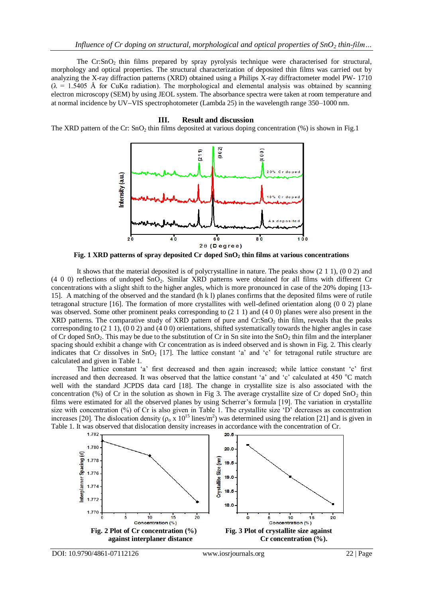The  $Cr:SnO<sub>2</sub>$  thin films prepared by spray pyrolysis technique were characterised for structural, morphology and optical properties. The structural characterization of deposited thin films was carried out by analyzing the X-ray diffraction patterns (XRD) obtained using a Philips X-ray diffractometer model PW- 1710  $(λ = 1.5405 Å$  for CuKα radiation). The morphological and elemental analysis was obtained by scanning electron microscopy (SEM) by using JEOL system. The absorbance spectra were taken at room temperature and at normal incidence by UV-VIS spectrophotometer (Lambda 25) in the wavelength range 350–1000 nm.

### **III. Result and discussion**

The XRD pattern of the Cr:  $SnO<sub>2</sub>$  thin films deposited at various doping concentration (%) is shown in Fig.1



**Fig. 1 XRD patterns of spray deposited Cr doped SnO<sup>2</sup> thin films at various concentrations**

It shows that the material deposited is of polycrystalline in nature. The peaks show (2 1 1), (0 0 2) and (4 0 0) reflections of undoped SnO2. Similar XRD patterns were obtained for all films with different Cr concentrations with a slight shift to the higher angles, which is more pronounced in case of the 20% doping [13- 15]. A matching of the observed and the standard (h k l) planes confirms that the deposited films were of rutile tetragonal structure [16]. The formation of more crystallites with well-defined orientation along (0 0 2) plane was observed. Some other prominent peaks corresponding to (2 1 1) and (4 0 0) planes were also present in the XRD patterns. The comparative study of XRD pattern of pure and  $Cr:SnO<sub>2</sub>$  thin film, reveals that the peaks corresponding to  $(2 1 1)$ ,  $(0 0 2)$  and  $(4 0 0)$  orientations, shifted systematically towards the higher angles in case of Cr doped SnO<sub>2</sub>. This may be due to the substitution of Cr in Sn site into the SnO<sub>2</sub> thin film and the interplaner spacing should exhibit a change with Cr concentration as is indeed observed and is shown in Fig. 2. This clearly indicates that Cr dissolves in  $SnO<sub>2</sub>$  [17]. The lattice constant 'a' and 'c' for tetragonal rutile structure are calculated and given in Table 1.

The lattice constant 'a' first decreased and then again increased; while lattice constant 'c' first increased and then decreased. It was observed that the lattice constant 'a' and 'c' calculated at 450 °C match well with the standard JCPDS data card [18]. The change in crystallite size is also associated with the concentration (%) of Cr in the solution as shown in Fig 3. The average crystallite size of Cr doped  $SnO<sub>2</sub>$  thin films were estimated for all the observed planes by using Scherrer's formula [19]. The variation in crystallite size with concentration (%) of Cr is also given in Table 1. The crystallite size 'D' decreases as concentration increases [20]. The dislocation density ( $\rho_0 \propto 10^{15}$  lines/m<sup>2</sup>) was determined using the relation [21] and is given in Table 1. It was observed that dislocation density increases in accordance with the concentration of Cr.

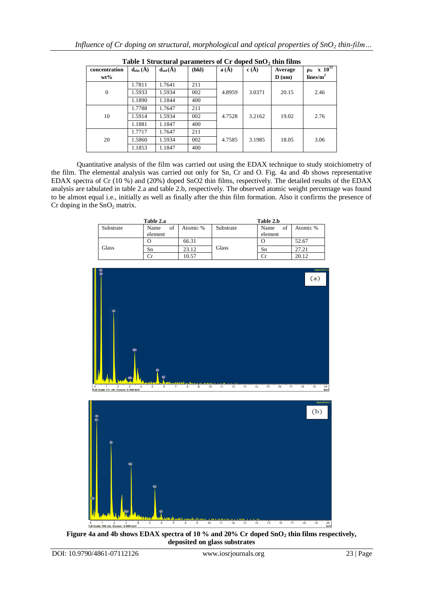| Table I bu ucturar parameters or Cr upped ShO? thin films |                                         |                                         |       |                          |        |                   |                      |  |
|-----------------------------------------------------------|-----------------------------------------|-----------------------------------------|-------|--------------------------|--------|-------------------|----------------------|--|
| concentration                                             | $\mathbf{d}_{\mathrm{obs}}(\mathbf{A})$ | $\mathbf{d}_{\mathrm{std}}(\mathbf{A})$ | (hkl) | $\mathbf{a}(\mathbf{A})$ | c(A)   | Average           | $ρD$ x $1015$        |  |
| $wt\%$                                                    |                                         |                                         |       |                          |        | $\mathbf{D}$ (nm) | $\mathbf{lines/m}^2$ |  |
| $\mathbf{0}$                                              | 1.7811                                  | 1.7641                                  | 211   | 4.8959                   | 3.0371 | 20.15             | 2.46                 |  |
|                                                           | 1.5933                                  | 1.5934                                  | 002   |                          |        |                   |                      |  |
|                                                           | 1.1890                                  | 1.1844                                  | 400   |                          |        |                   |                      |  |
| 10                                                        | 1.7788                                  | 1.7647                                  | 211   | 4.7528                   | 3.2162 | 19.02             | 2.76                 |  |
|                                                           | 1.5914                                  | 1.5934                                  | 002   |                          |        |                   |                      |  |
|                                                           | 1.1881                                  | 1.1847                                  | 400   |                          |        |                   |                      |  |
| 20                                                        | 1.7717                                  | 1.7647                                  | 211   | 4.7585                   | 3.1985 | 18.05             | 3.06                 |  |
|                                                           | 1.5860                                  | 1.5934                                  | 002   |                          |        |                   |                      |  |
|                                                           | 1.1853                                  | 1.1847                                  | 400   |                          |        |                   |                      |  |

| Table 1 Structural parameters of Cr doped SnO <sub>2</sub> thin films |  |  |  |
|-----------------------------------------------------------------------|--|--|--|
|-----------------------------------------------------------------------|--|--|--|

Quantitative analysis of the film was carried out using the EDAX technique to study stoichiometry of the film. The elemental analysis was carried out only for Sn, Cr and O. Fig. 4a and 4b shows representative EDAX spectra of Cr (10 %) and (20%) doped SnO2 thin films, respectively. The detailed results of the EDAX analysis are tabulated in table 2.a and table 2.b, respectively. The observed atomic weight percentage was found to be almost equal i.e., initially as well as finally after the thin film formation. Also it confirms the presence of Cr doping in the  $SnO<sub>2</sub>$  matrix.

|           | Table 2.a  |          | Table 2.b    |            |          |  |
|-----------|------------|----------|--------------|------------|----------|--|
| Substrate | of<br>Name | Atomic % | Substrate    | of<br>Name | Atomic % |  |
|           | element    |          |              | element    |          |  |
|           | U          | 66.31    |              | υ          | 52.67    |  |
| Glass     | Sn         | 23.12    | <b>Glass</b> | Sn         | 27.21    |  |
|           |            | 10.57    |              |            | 20.12    |  |



**Figure 4a and 4b shows EDAX spectra of 10 % and 20% Cr doped SnO<sup>2</sup> thin films respectively, deposited on glass substrates**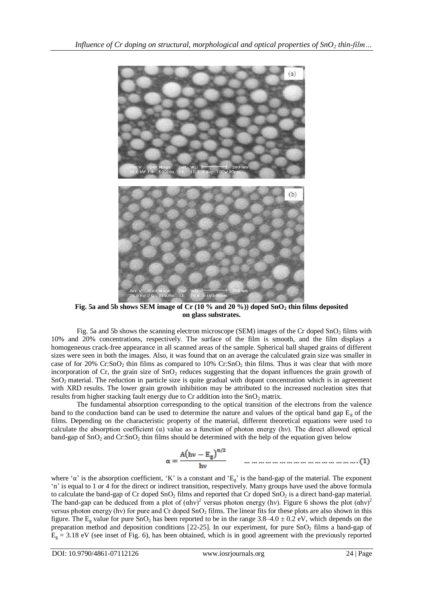

**Fig. 5a and 5b shows SEM image of Cr (10 % and 20 %)) doped SnO<sup>2</sup> thin films deposited on glass substrates.**

Fig. 5a and 5b shows the scanning electron microscope (SEM) images of the Cr doped  $SnO<sub>2</sub>$  films with 10% and 20% concentrations, respectively. The surface of the film is smooth, and the film displays a homogeneous crack-free appearance in all scanned areas of the sample. Spherical ball shaped grains of different sizes were seen in both the images. Also, it was found that on an average the calculated grain size was smaller in case of for 20% Cr:SnO<sub>2</sub> thin films as compared to  $10\%$  Cr:SnO<sub>2</sub> thin films. Thus it was clear that with more incorporation of  $Cr$ , the grain size of  $SnO<sub>2</sub>$  reduces suggesting that the dopant influences the grain growth of SnO2 material. The reduction in particle size is quite gradual with dopant concentration which is in agreement with XRD results. The lower grain growth inhibition may be attributed to the increased nucleation sites that results from higher stacking fault energy due to Cr addition into the  $SnO<sub>2</sub>$  matrix.

The fundamental absorption corresponding to the optical transition of the electrons from the valence band to the conduction band can be used to determine the nature and values of the optical band gap  $E<sub>g</sub>$  of the films. Depending on the characteristic property of the material, different theoretical equations were used to calculate the absorption coefficient  $(\alpha)$  value as a function of photon energy (hv). The direct allowed optical band-gap of  $SnO<sub>2</sub>$  and  $Cr:SnO<sub>2</sub>$  thin films should be determined with the help of the equation given below

$$
\alpha = \frac{A(hv - E_g)^{n/2}}{hv}
$$
 ... ... ... ... ... ... ... ... ... ... ... ... (1)

where ' $\alpha$ ' is the absorption coefficient, 'K' is a constant and ' $E_g$ ' is the band-gap of the material. The exponent 'n' is equal to 1 or 4 for the direct or indirect transition, respectively. Many groups have used the above formula to calculate the band-gap of Cr doped  $SnO<sub>2</sub>$  films and reported that Cr doped  $SnO<sub>2</sub>$  is a direct band-gap material. The band-gap can be deduced from a plot of  $(ahv)^2$  versus photon energy (hv). Figure 6 shows the plot  $(ahv)^2$ versus photon energy (hv) for pure and Cr doped SnO<sub>2</sub> films. The linear fits for these plots are also shown in this figure. The  $E_g$  value for pure SnO<sub>2</sub> has been reported to be in the range 3.8–4.0  $\pm$  0.2 eV, which depends on the preparation method and deposition conditions [22-25]. In our experiment, for pure SnO<sub>2</sub> films a band-gap of  $E<sub>g</sub> = 3.18$  eV (see inset of Fig. 6), has been obtained, which is in good agreement with the previously reported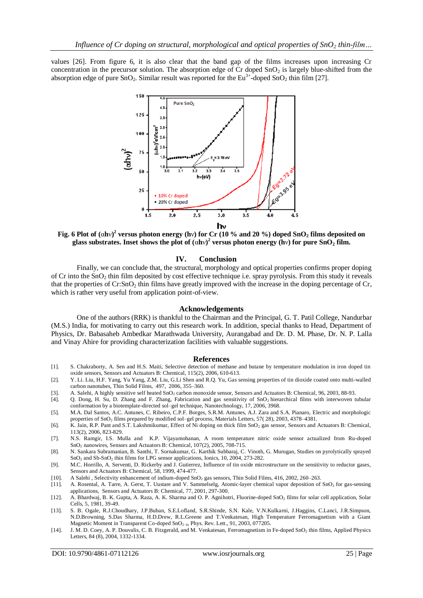values [26]. From figure 6, it is also clear that the band gap of the films increases upon increasing Cr concentration in the precursor solution. The absorption edge of Cr doped  $SnO<sub>2</sub>$  is largely blue-shifted from the absorption edge of pure SnO<sub>2</sub>. Similar result was reported for the Eu<sup>3+</sup>-doped SnO<sub>2</sub> thin film [27].



**Fig. 6 Plot of (**α**h**ν**) 2 versus photon energy (h**ν**) for Cr (10 % and 20 %) doped SnO<sup>2</sup> films deposited on glass substrates. Inset shows the plot of**  $(\alpha h\nu)^2$  **versus photon energy**  $(h\nu)$  **for pure**  $SnO_2$  **film.** 

### **IV. Conclusion**

Finally, we can conclude that, the structural, morphology and optical properties confirms proper doping of Cr into the SnO<sup>2</sup> thin film deposited by cost effective technique i.e. spray pyrolysis. From this study it reveals that the properties of  $Cr:SnO_2$  thin films have greatly improved with the increase in the doping percentage of  $Cr$ , which is rather very useful from application point-of-view.

#### **Acknowledgements**

One of the authors (RRK) is thankful to the Chairman and the Principal, G. T. Patil College, Nandurbar (M.S.) India, for motivating to carry out this research work. In addition, special thanks to Head, Department of Physics, Dr. Babasaheb Ambedkar Marathwada University, Aurangabad and Dr. D. M. Phase, Dr. N. P. Lalla and Vinay Ahire for providing characterization facilities with valuable suggestions.

#### **References**

- [1]. S. Chakraborty, A. Sen and H.S. Maiti, Selective detection of methane and butane by temperature modulation in iron doped tin oxide sensors[, Sensors and Actuators B: Chemical,](http://www.sciencedirect.com/science/journal/09254005) 115(2), 2006, 610-613.
- [2]. Y. Li. Liu, H.F. Yang, Yu Yang, Z.M. Liu, G.Li Shen and R.Q. Yu, [Gas sensing properties of tin dioxide coated onto multi-walled](http://www.sciencedirect.com/science/article/pii/S0040609005021012)  [carbon nanotubes,](http://www.sciencedirect.com/science/article/pii/S0040609005021012) Thin Solid Films, 497, 2006, 355–360.
- [3]. [A. Salehi,](http://www.sciencedirect.com/science/article/pii/S0925400503004908) A highly sensitive self heated SnO<sub>2</sub> carbon monoxide sensor[, Sensors and Actuators B: Chemical,](http://www.sciencedirect.com/science/journal/09254005) 96, 2003, 88-93.
- [4]. Q. Dong, H. Su, D. Zhang and F. Zhang, Fabrication and gas sensitivity of SnO<sup>2</sup> hierarchical films with interwoven tubular conformation by a biotemplate-directed sol–gel technique, Nanotechnology, 17, 2006, 3968.
- [5]. M.A. Dal Santos, A.C. Antunes, C. Ribeiro, C.P.F. Borges, S.R.M. Antunes, A.J. Zara and S.A. Pianaro, [Electric and morphologic](http://www.sciencedirect.com/science/article/pii/S0167577X03003288)  properties of SnO<sup>2</sup> [films prepared by modified sol–gel process,](http://www.sciencedirect.com/science/article/pii/S0167577X03003288) [Materials Letters,](http://www.sciencedirect.com/science/journal/0167577X) [57\( 28\)](http://www.sciencedirect.com/science/journal/0167577X/57/28), 2003, 4378–4381.
- [6]. K. Jain, R.P. Pant and S.T. Lakshmikumar, Effect of Ni doping on thick film SnO<sub>2</sub> gas sensor, [Sensors and Actuators B: Chemical,](http://www.sciencedirect.com/science/journal/09254005) 113(2), 2006, 823-829.
- [7]. N.S. Ramgir, I.S. Mulla and K.P. Vijayamohanan, [A room temperature nitric oxide sensor actualized from](http://www.sciencedirect.com/science/article/pii/S0925400505000043) Ru-doped SnO<sub>2</sub> [nanowires,](http://www.sciencedirect.com/science/article/pii/S0925400505000043) [Sensors and Actuators B: Chemical,](http://www.sciencedirect.com/science/journal/09254005) 107(2), 2005, 708-715.
- [8]. [N. Sankara Subramanian,](http://link.springer.com/search?facet-author=%22N.+Sankara+Subramanian%22) [B. Santhi,](http://link.springer.com/search?facet-author=%22B.+Santhi%22) [T. Sornakumar,](http://link.springer.com/search?facet-author=%22T.+Sornakumar%22) [G. Karthik Subbaraj,](http://link.springer.com/search?facet-author=%22G.+Karthik+Subbaraj%22) [C. Vinoth,](http://link.springer.com/search?facet-author=%22C.+Vinoth%22) [G. Murugan,](http://link.springer.com/search?facet-author=%22G.+Murugan%22) [Studies on pyrolytically sprayed](http://link.springer.com/article/10.1007/BF02382829)  SnO<sup>2</sup> and Sb-SnO<sup>2</sup> [thin films for LPG sensor applications,](http://link.springer.com/article/10.1007/BF02382829) [Ionics,](http://link.springer.com/journal/11581) 10, 2004, 273-282.
- [9]. M.C. Horrillo, A. Serventi, D. Rickerby and J. Gutierrez, [Influence of tin oxide microstructure on the sensitivity to reductor gases,](http://www.sciencedirect.com/science/article/pii/S0925400599001069) [Sensors and Actuators B: Chemical,](http://www.sciencedirect.com/science/journal/09254005) 58, 1999, 474-477.
- [10]. [A Salehi](http://www.sciencedirect.com/science/article/pii/S0040609002006260) , [Selectivity enhancement of indium-doped SnO](http://www.sciencedirect.com/science/article/pii/S0040609002006260)<sub>2</sub> gas sensors[, Thin Solid Films,](http://www.sciencedirect.com/science/journal/00406090) 416, 2002, 260–263.<br>[11]. A. Rosental, A. Tarre, A. Gerst, T. Uustare and V. Sammelselg, Atomic-layer chemical vapor deposition
- A. Rosental, A. Tarre, A. Gerst, T. Uustare and V. Sammelselg, [Atomic-layer chemical vapor deposition of SnO](http://www.sciencedirect.com/science/article/pii/S0925400501007468)<sub>2</sub> for gas-sensing [applications,](http://www.sciencedirect.com/science/article/pii/S0925400501007468) [Sensors and Actuators B: Chemical,](http://www.sciencedirect.com/science/journal/09254005) 77, 2001, 297-300.
- [12]. A. Bhardwaj, B. K. Gupta, A. Raza, A. K. Sharma and O. P. Agnihotri, Fluorine-doped SnO<sub>2</sub> [films for solar cell application,](http://www.sciencedirect.com/science/article/pii/0379678781900144) Solar Cells, 5, 1981, 39-49.
- [13]. S. B. Ogale, R.J.Choudhary, J.P.Buban, S.E.Lofland, S.R.Shinde, S.N. Kale, V.N.Kulkarni, J.Haggins, C.Lanci, J.R.Simpson, N.D.Browning, S.Das Sharma, H.D.Drew, R.L.Greene and T.Venkatesan, High Temperature Ferromagnetism with a Giant Magnetic Moment in Transparent Co-doped SnO<sub>2−δ</sub>, Phys. Rev. Lett., 91, 2003, 077205.
- [14]. J. M. D. Coey, A. P. Douvalis, C. B. Fitzgerald, and M. Venkatesan, [Ferromagnetism in Fe-doped SnO](http://scholar.google.co.in/citations?view_op=view_citation&hl=en&user=aIc4NZIAAAAJ&citation_for_view=aIc4NZIAAAAJ:9yKSN-GCB0IC)<sub>2</sub> thin films, Applied Physics Letters, 84 (8), 2004, 1332-1334.